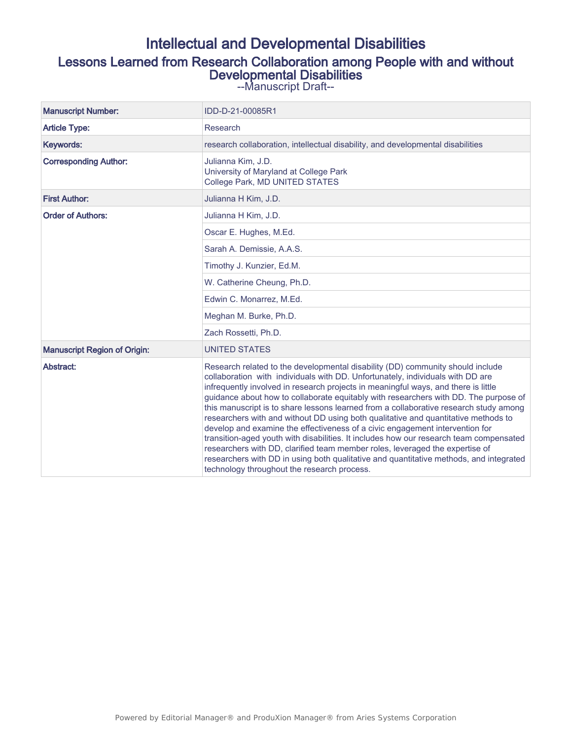## Intellectual and Developmental Disabilities Lessons Learned from Research Collaboration among People with and without Developmental Disabilities

--Manuscript Draft--

| <b>Manuscript Number:</b>           | IDD-D-21-00085R1                                                                                                                                                                                                                                                                                                                                                                                                                                                                                                                                                                                                                                                                                                                                                                                                                                                                                                                 |
|-------------------------------------|----------------------------------------------------------------------------------------------------------------------------------------------------------------------------------------------------------------------------------------------------------------------------------------------------------------------------------------------------------------------------------------------------------------------------------------------------------------------------------------------------------------------------------------------------------------------------------------------------------------------------------------------------------------------------------------------------------------------------------------------------------------------------------------------------------------------------------------------------------------------------------------------------------------------------------|
| <b>Article Type:</b>                | Research                                                                                                                                                                                                                                                                                                                                                                                                                                                                                                                                                                                                                                                                                                                                                                                                                                                                                                                         |
| Keywords:                           | research collaboration, intellectual disability, and developmental disabilities                                                                                                                                                                                                                                                                                                                                                                                                                                                                                                                                                                                                                                                                                                                                                                                                                                                  |
| <b>Corresponding Author:</b>        | Julianna Kim, J.D.<br>University of Maryland at College Park<br>College Park, MD UNITED STATES                                                                                                                                                                                                                                                                                                                                                                                                                                                                                                                                                                                                                                                                                                                                                                                                                                   |
| <b>First Author:</b>                | Julianna H Kim, J.D.                                                                                                                                                                                                                                                                                                                                                                                                                                                                                                                                                                                                                                                                                                                                                                                                                                                                                                             |
| <b>Order of Authors:</b>            | Julianna H Kim, J.D.                                                                                                                                                                                                                                                                                                                                                                                                                                                                                                                                                                                                                                                                                                                                                                                                                                                                                                             |
|                                     | Oscar E. Hughes, M.Ed.                                                                                                                                                                                                                                                                                                                                                                                                                                                                                                                                                                                                                                                                                                                                                                                                                                                                                                           |
|                                     | Sarah A. Demissie, A.A.S.                                                                                                                                                                                                                                                                                                                                                                                                                                                                                                                                                                                                                                                                                                                                                                                                                                                                                                        |
|                                     | Timothy J. Kunzier, Ed.M.                                                                                                                                                                                                                                                                                                                                                                                                                                                                                                                                                                                                                                                                                                                                                                                                                                                                                                        |
|                                     | W. Catherine Cheung, Ph.D.                                                                                                                                                                                                                                                                                                                                                                                                                                                                                                                                                                                                                                                                                                                                                                                                                                                                                                       |
|                                     | Edwin C. Monarrez, M.Ed.                                                                                                                                                                                                                                                                                                                                                                                                                                                                                                                                                                                                                                                                                                                                                                                                                                                                                                         |
|                                     | Meghan M. Burke, Ph.D.                                                                                                                                                                                                                                                                                                                                                                                                                                                                                                                                                                                                                                                                                                                                                                                                                                                                                                           |
|                                     | Zach Rossetti, Ph.D.                                                                                                                                                                                                                                                                                                                                                                                                                                                                                                                                                                                                                                                                                                                                                                                                                                                                                                             |
| <b>Manuscript Region of Origin:</b> | <b>UNITED STATES</b>                                                                                                                                                                                                                                                                                                                                                                                                                                                                                                                                                                                                                                                                                                                                                                                                                                                                                                             |
| Abstract:                           | Research related to the developmental disability (DD) community should include<br>collaboration with individuals with DD. Unfortunately, individuals with DD are<br>infrequently involved in research projects in meaningful ways, and there is little<br>guidance about how to collaborate equitably with researchers with DD. The purpose of<br>this manuscript is to share lessons learned from a collaborative research study among<br>researchers with and without DD using both qualitative and quantitative methods to<br>develop and examine the effectiveness of a civic engagement intervention for<br>transition-aged youth with disabilities. It includes how our research team compensated<br>researchers with DD, clarified team member roles, leveraged the expertise of<br>researchers with DD in using both qualitative and quantitative methods, and integrated<br>technology throughout the research process. |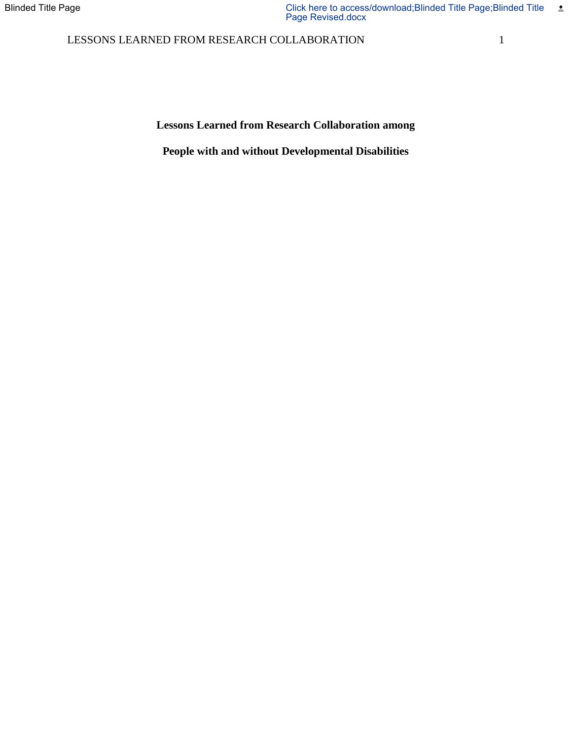### LESSONS LEARNED FROM RESEARCH COLLABORATION 1

**Lessons Learned from Research Collaboration among** 

**People with and without Developmental Disabilities**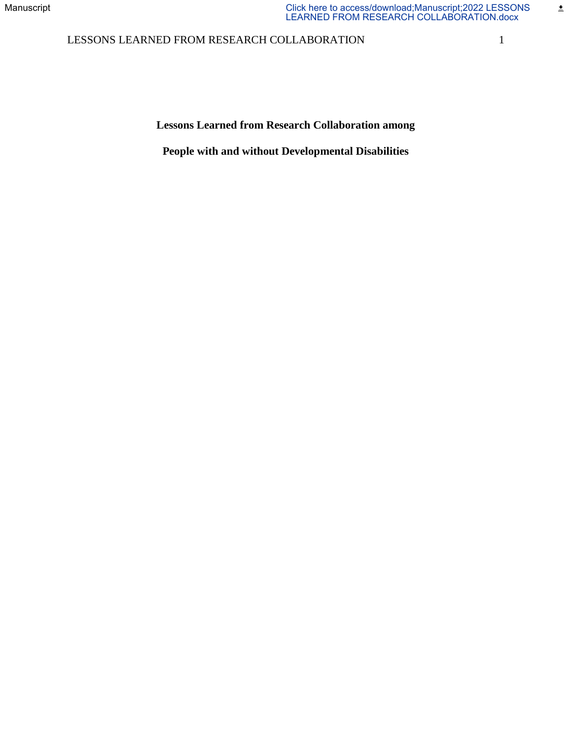### LESSONS LEARNED FROM RESEARCH COLLABORATION 1

 $\pm$ 

**Lessons Learned from Research Collaboration among** 

**People with and without Developmental Disabilities**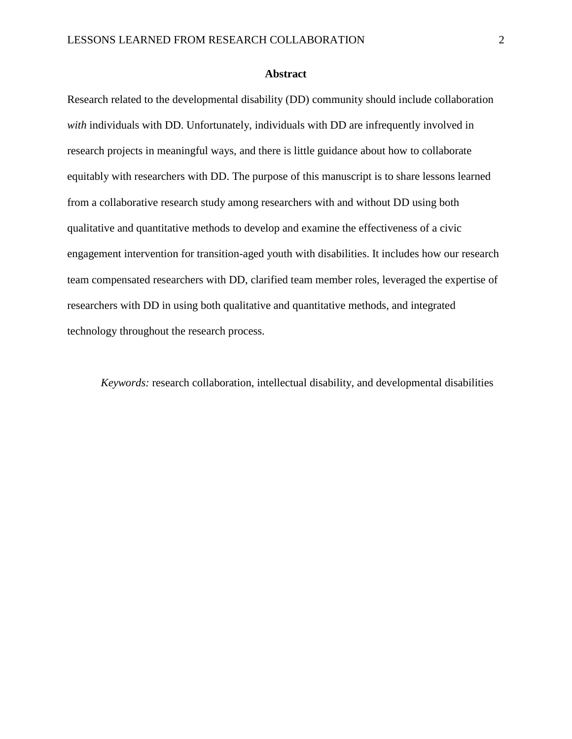#### **Abstract**

Research related to the developmental disability (DD) community should include collaboration *with* individuals with DD. Unfortunately, individuals with DD are infrequently involved in research projects in meaningful ways, and there is little guidance about how to collaborate equitably with researchers with DD. The purpose of this manuscript is to share lessons learned from a collaborative research study among researchers with and without DD using both qualitative and quantitative methods to develop and examine the effectiveness of a civic engagement intervention for transition-aged youth with disabilities. It includes how our research team compensated researchers with DD, clarified team member roles, leveraged the expertise of researchers with DD in using both qualitative and quantitative methods, and integrated technology throughout the research process.

*Keywords:* research collaboration, intellectual disability, and developmental disabilities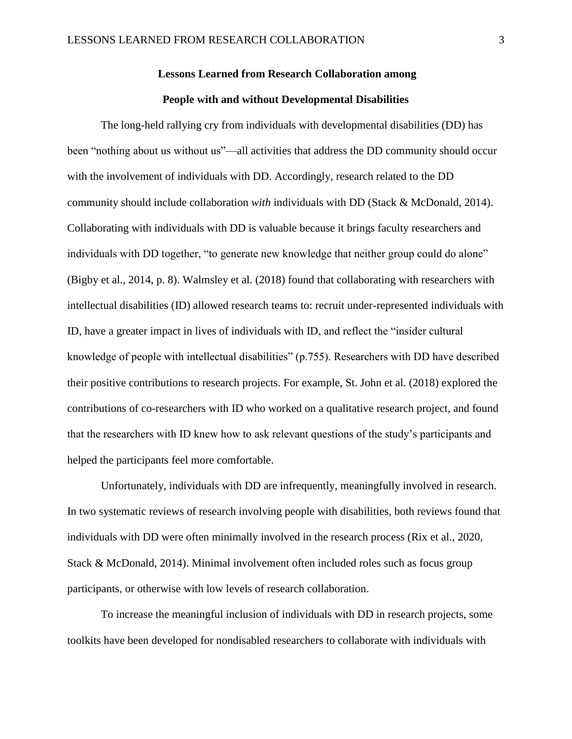# **Lessons Learned from Research Collaboration among**

### **People with and without Developmental Disabilities**

The long-held rallying cry from individuals with developmental disabilities (DD) has been "nothing about us without us"—all activities that address the DD community should occur with the involvement of individuals with DD. Accordingly, research related to the DD community should include collaboration *with* individuals with DD (Stack & McDonald, 2014). Collaborating with individuals with DD is valuable because it brings faculty researchers and individuals with DD together, "to generate new knowledge that neither group could do alone" (Bigby et al., 2014, p. 8). Walmsley et al. (2018) found that collaborating with researchers with intellectual disabilities (ID) allowed research teams to: recruit under-represented individuals with ID, have a greater impact in lives of individuals with ID, and reflect the "insider cultural knowledge of people with intellectual disabilities" (p.755). Researchers with DD have described their positive contributions to research projects. For example, St. John et al. (2018) explored the contributions of co-researchers with ID who worked on a qualitative research project, and found that the researchers with ID knew how to ask relevant questions of the study's participants and helped the participants feel more comfortable.

Unfortunately, individuals with DD are infrequently, meaningfully involved in research. In two systematic reviews of research involving people with disabilities, both reviews found that individuals with DD were often minimally involved in the research process (Rix et al., 2020, Stack & McDonald, 2014). Minimal involvement often included roles such as focus group participants, or otherwise with low levels of research collaboration.

To increase the meaningful inclusion of individuals with DD in research projects, some toolkits have been developed for nondisabled researchers to collaborate with individuals with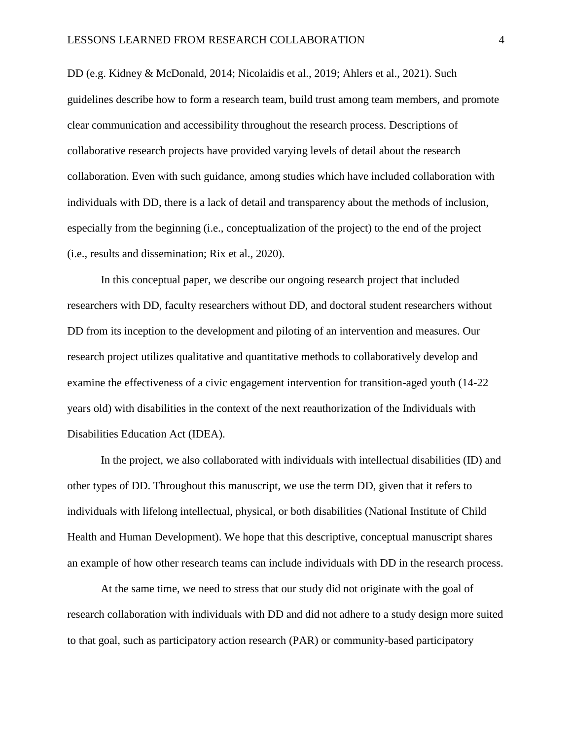DD (e.g. Kidney & McDonald, 2014; Nicolaidis et al., 2019; Ahlers et al., 2021). Such guidelines describe how to form a research team, build trust among team members, and promote clear communication and accessibility throughout the research process. Descriptions of collaborative research projects have provided varying levels of detail about the research collaboration. Even with such guidance, among studies which have included collaboration with individuals with DD, there is a lack of detail and transparency about the methods of inclusion, especially from the beginning (i.e., conceptualization of the project) to the end of the project (i.e., results and dissemination; Rix et al., 2020).

In this conceptual paper, we describe our ongoing research project that included researchers with DD, faculty researchers without DD, and doctoral student researchers without DD from its inception to the development and piloting of an intervention and measures. Our research project utilizes qualitative and quantitative methods to collaboratively develop and examine the effectiveness of a civic engagement intervention for transition-aged youth (14-22 years old) with disabilities in the context of the next reauthorization of the Individuals with Disabilities Education Act (IDEA).

In the project, we also collaborated with individuals with intellectual disabilities (ID) and other types of DD. Throughout this manuscript, we use the term DD, given that it refers to individuals with lifelong intellectual, physical, or both disabilities (National Institute of Child Health and Human Development). We hope that this descriptive, conceptual manuscript shares an example of how other research teams can include individuals with DD in the research process.

At the same time, we need to stress that our study did not originate with the goal of research collaboration with individuals with DD and did not adhere to a study design more suited to that goal, such as participatory action research (PAR) or community-based participatory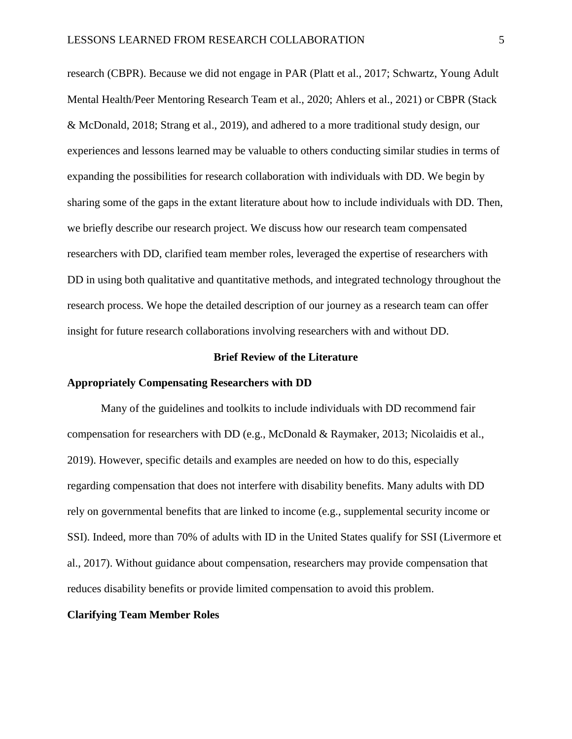research (CBPR). Because we did not engage in PAR (Platt et al., 2017; Schwartz, Young Adult Mental Health/Peer Mentoring Research Team et al., 2020; Ahlers et al., 2021) or CBPR (Stack & McDonald, 2018; Strang et al., 2019), and adhered to a more traditional study design, our experiences and lessons learned may be valuable to others conducting similar studies in terms of expanding the possibilities for research collaboration with individuals with DD. We begin by sharing some of the gaps in the extant literature about how to include individuals with DD. Then, we briefly describe our research project. We discuss how our research team compensated researchers with DD, clarified team member roles, leveraged the expertise of researchers with DD in using both qualitative and quantitative methods, and integrated technology throughout the research process. We hope the detailed description of our journey as a research team can offer insight for future research collaborations involving researchers with and without DD.

#### **Brief Review of the Literature**

#### **Appropriately Compensating Researchers with DD**

Many of the guidelines and toolkits to include individuals with DD recommend fair compensation for researchers with DD (e.g., McDonald & Raymaker, 2013; Nicolaidis et al., 2019). However, specific details and examples are needed on how to do this, especially regarding compensation that does not interfere with disability benefits. Many adults with DD rely on governmental benefits that are linked to income (e.g., supplemental security income or SSI). Indeed, more than 70% of adults with ID in the United States qualify for SSI (Livermore et al., 2017). Without guidance about compensation, researchers may provide compensation that reduces disability benefits or provide limited compensation to avoid this problem.

#### **Clarifying Team Member Roles**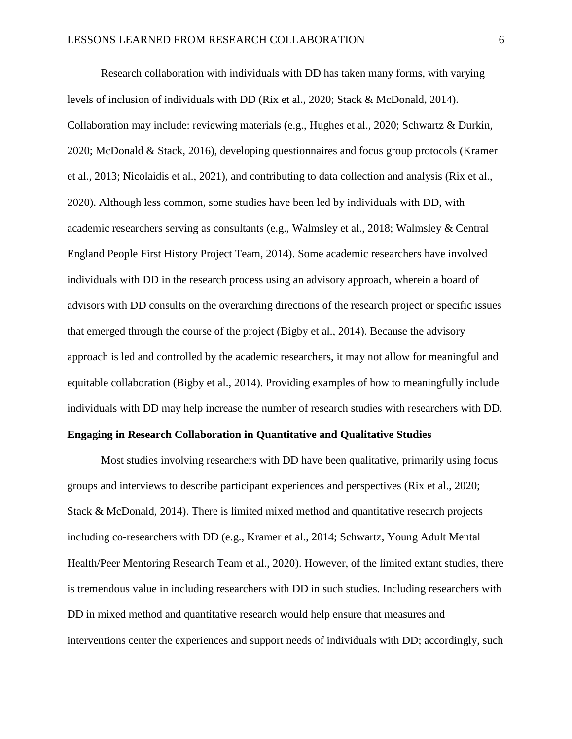Research collaboration with individuals with DD has taken many forms, with varying levels of inclusion of individuals with DD (Rix et al., 2020; Stack & McDonald, 2014). Collaboration may include: reviewing materials (e.g., Hughes et al., 2020; Schwartz & Durkin, 2020; McDonald & Stack, 2016), developing questionnaires and focus group protocols (Kramer et al., 2013; Nicolaidis et al., 2021), and contributing to data collection and analysis (Rix et al., 2020). Although less common, some studies have been led by individuals with DD, with academic researchers serving as consultants (e.g., Walmsley et al., 2018; Walmsley & Central England People First History Project Team, 2014). Some academic researchers have involved individuals with DD in the research process using an advisory approach, wherein a board of advisors with DD consults on the overarching directions of the research project or specific issues that emerged through the course of the project (Bigby et al., 2014). Because the advisory approach is led and controlled by the academic researchers, it may not allow for meaningful and equitable collaboration (Bigby et al., 2014). Providing examples of how to meaningfully include individuals with DD may help increase the number of research studies with researchers with DD.

#### **Engaging in Research Collaboration in Quantitative and Qualitative Studies**

Most studies involving researchers with DD have been qualitative, primarily using focus groups and interviews to describe participant experiences and perspectives (Rix et al., 2020; Stack & McDonald, 2014). There is limited mixed method and quantitative research projects including co-researchers with DD (e.g., Kramer et al., 2014; Schwartz, Young Adult Mental Health/Peer Mentoring Research Team et al., 2020). However, of the limited extant studies, there is tremendous value in including researchers with DD in such studies. Including researchers with DD in mixed method and quantitative research would help ensure that measures and interventions center the experiences and support needs of individuals with DD; accordingly, such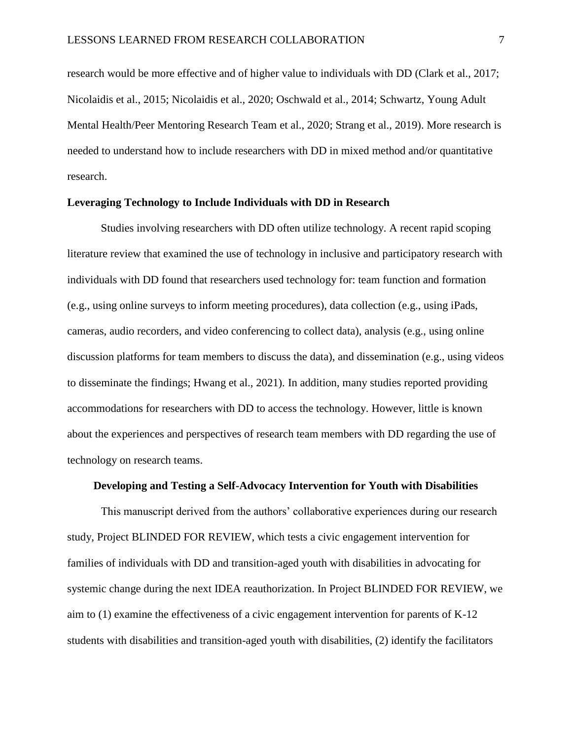research would be more effective and of higher value to individuals with DD (Clark et al., 2017; Nicolaidis et al., 2015; Nicolaidis et al., 2020; Oschwald et al., 2014; Schwartz, Young Adult Mental Health/Peer Mentoring Research Team et al., 2020; Strang et al., 2019). More research is needed to understand how to include researchers with DD in mixed method and/or quantitative research.

#### **Leveraging Technology to Include Individuals with DD in Research**

Studies involving researchers with DD often utilize technology. A recent rapid scoping literature review that examined the use of technology in inclusive and participatory research with individuals with DD found that researchers used technology for: team function and formation (e.g., using online surveys to inform meeting procedures), data collection (e.g., using iPads, cameras, audio recorders, and video conferencing to collect data), analysis (e.g., using online discussion platforms for team members to discuss the data), and dissemination (e.g., using videos to disseminate the findings; Hwang et al., 2021). In addition, many studies reported providing accommodations for researchers with DD to access the technology. However, little is known about the experiences and perspectives of research team members with DD regarding the use of technology on research teams.

#### **Developing and Testing a Self-Advocacy Intervention for Youth with Disabilities**

This manuscript derived from the authors' collaborative experiences during our research study, Project BLINDED FOR REVIEW, which tests a civic engagement intervention for families of individuals with DD and transition-aged youth with disabilities in advocating for systemic change during the next IDEA reauthorization. In Project BLINDED FOR REVIEW, we aim to (1) examine the effectiveness of a civic engagement intervention for parents of K-12 students with disabilities and transition-aged youth with disabilities, (2) identify the facilitators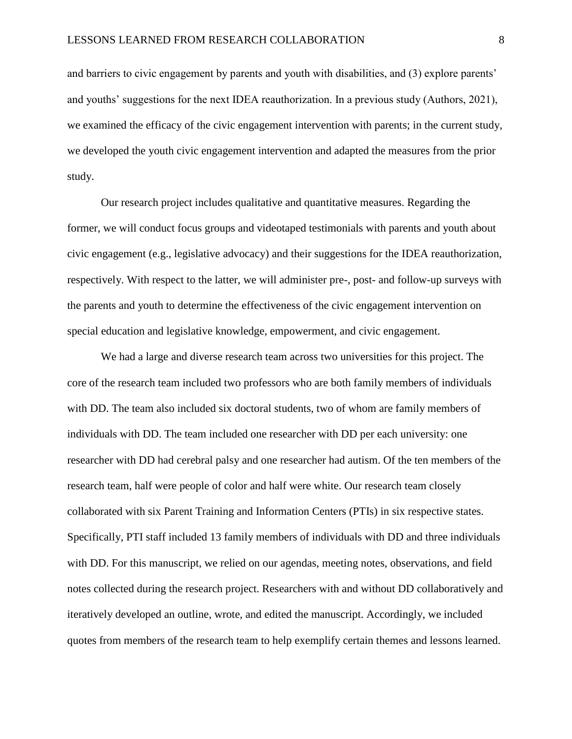and barriers to civic engagement by parents and youth with disabilities, and (3) explore parents' and youths' suggestions for the next IDEA reauthorization. In a previous study (Authors, 2021), we examined the efficacy of the civic engagement intervention with parents; in the current study, we developed the youth civic engagement intervention and adapted the measures from the prior study.

Our research project includes qualitative and quantitative measures. Regarding the former, we will conduct focus groups and videotaped testimonials with parents and youth about civic engagement (e.g., legislative advocacy) and their suggestions for the IDEA reauthorization, respectively. With respect to the latter, we will administer pre-, post- and follow-up surveys with the parents and youth to determine the effectiveness of the civic engagement intervention on special education and legislative knowledge, empowerment, and civic engagement.

We had a large and diverse research team across two universities for this project. The core of the research team included two professors who are both family members of individuals with DD. The team also included six doctoral students, two of whom are family members of individuals with DD. The team included one researcher with DD per each university: one researcher with DD had cerebral palsy and one researcher had autism. Of the ten members of the research team, half were people of color and half were white. Our research team closely collaborated with six Parent Training and Information Centers (PTIs) in six respective states. Specifically, PTI staff included 13 family members of individuals with DD and three individuals with DD. For this manuscript, we relied on our agendas, meeting notes, observations, and field notes collected during the research project. Researchers with and without DD collaboratively and iteratively developed an outline, wrote, and edited the manuscript. Accordingly, we included quotes from members of the research team to help exemplify certain themes and lessons learned.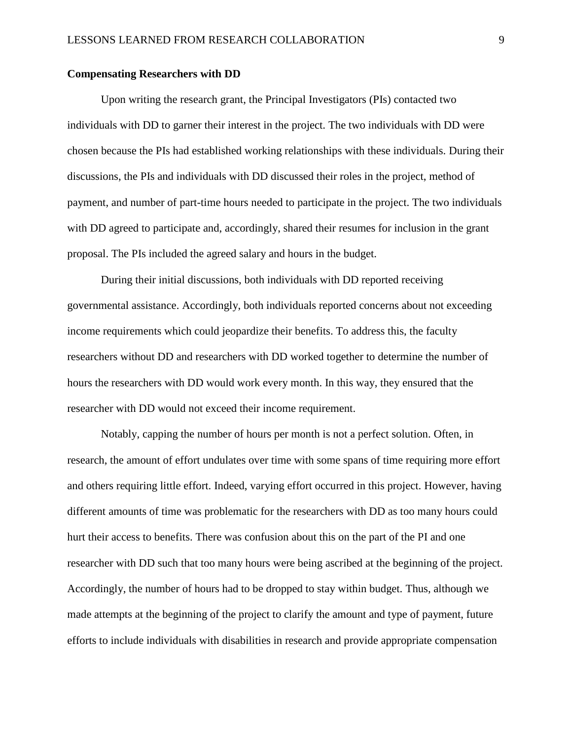#### **Compensating Researchers with DD**

Upon writing the research grant, the Principal Investigators (PIs) contacted two individuals with DD to garner their interest in the project. The two individuals with DD were chosen because the PIs had established working relationships with these individuals. During their discussions, the PIs and individuals with DD discussed their roles in the project, method of payment, and number of part-time hours needed to participate in the project. The two individuals with DD agreed to participate and, accordingly, shared their resumes for inclusion in the grant proposal. The PIs included the agreed salary and hours in the budget.

During their initial discussions, both individuals with DD reported receiving governmental assistance. Accordingly, both individuals reported concerns about not exceeding income requirements which could jeopardize their benefits. To address this, the faculty researchers without DD and researchers with DD worked together to determine the number of hours the researchers with DD would work every month. In this way, they ensured that the researcher with DD would not exceed their income requirement.

Notably, capping the number of hours per month is not a perfect solution. Often, in research, the amount of effort undulates over time with some spans of time requiring more effort and others requiring little effort. Indeed, varying effort occurred in this project. However, having different amounts of time was problematic for the researchers with DD as too many hours could hurt their access to benefits. There was confusion about this on the part of the PI and one researcher with DD such that too many hours were being ascribed at the beginning of the project. Accordingly, the number of hours had to be dropped to stay within budget. Thus, although we made attempts at the beginning of the project to clarify the amount and type of payment, future efforts to include individuals with disabilities in research and provide appropriate compensation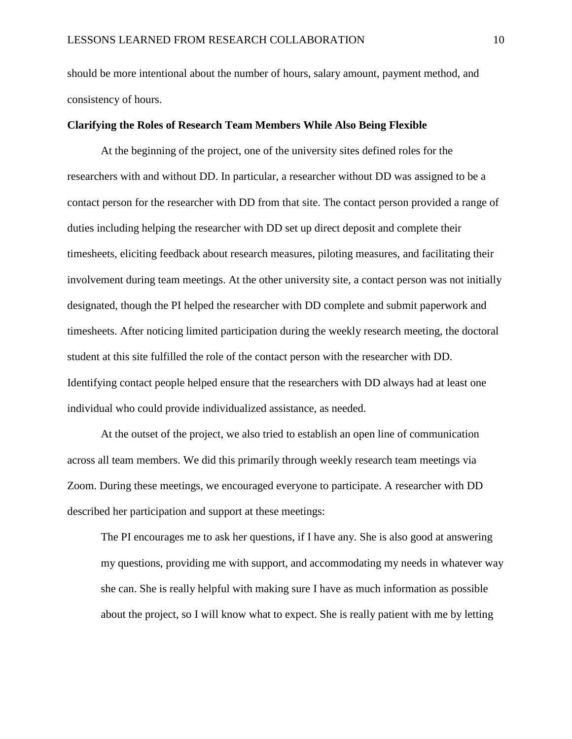should be more intentional about the number of hours, salary amount, payment method, and consistency of hours.

#### **Clarifying the Roles of Research Team Members While Also Being Flexible**

At the beginning of the project, one of the university sites defined roles for the researchers with and without DD. In particular, a researcher without DD was assigned to be a contact person for the researcher with DD from that site. The contact person provided a range of duties including helping the researcher with DD set up direct deposit and complete their timesheets, eliciting feedback about research measures, piloting measures, and facilitating their involvement during team meetings. At the other university site, a contact person was not initially designated, though the PI helped the researcher with DD complete and submit paperwork and timesheets. After noticing limited participation during the weekly research meeting, the doctoral student at this site fulfilled the role of the contact person with the researcher with DD. Identifying contact people helped ensure that the researchers with DD always had at least one individual who could provide individualized assistance, as needed.

At the outset of the project, we also tried to establish an open line of communication across all team members. We did this primarily through weekly research team meetings via Zoom. During these meetings, we encouraged everyone to participate. A researcher with DD described her participation and support at these meetings:

The PI encourages me to ask her questions, if I have any. She is also good at answering my questions, providing me with support, and accommodating my needs in whatever way she can. She is really helpful with making sure I have as much information as possible about the project, so I will know what to expect. She is really patient with me by letting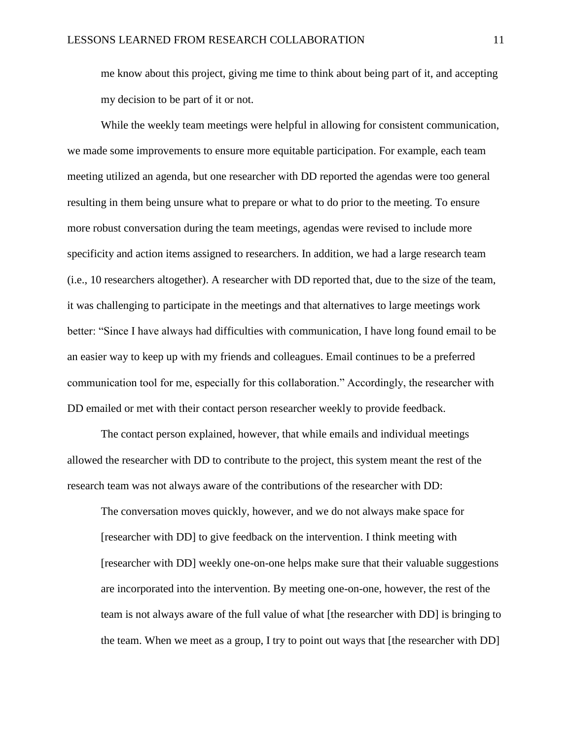me know about this project, giving me time to think about being part of it, and accepting my decision to be part of it or not.

While the weekly team meetings were helpful in allowing for consistent communication, we made some improvements to ensure more equitable participation. For example, each team meeting utilized an agenda, but one researcher with DD reported the agendas were too general resulting in them being unsure what to prepare or what to do prior to the meeting. To ensure more robust conversation during the team meetings, agendas were revised to include more specificity and action items assigned to researchers. In addition, we had a large research team (i.e., 10 researchers altogether). A researcher with DD reported that, due to the size of the team, it was challenging to participate in the meetings and that alternatives to large meetings work better: "Since I have always had difficulties with communication, I have long found email to be an easier way to keep up with my friends and colleagues. Email continues to be a preferred communication tool for me, especially for this collaboration." Accordingly, the researcher with DD emailed or met with their contact person researcher weekly to provide feedback.

The contact person explained, however, that while emails and individual meetings allowed the researcher with DD to contribute to the project, this system meant the rest of the research team was not always aware of the contributions of the researcher with DD:

The conversation moves quickly, however, and we do not always make space for [researcher with DD] to give feedback on the intervention. I think meeting with [researcher with DD] weekly one-on-one helps make sure that their valuable suggestions are incorporated into the intervention. By meeting one-on-one, however, the rest of the team is not always aware of the full value of what [the researcher with DD] is bringing to the team. When we meet as a group, I try to point out ways that [the researcher with DD]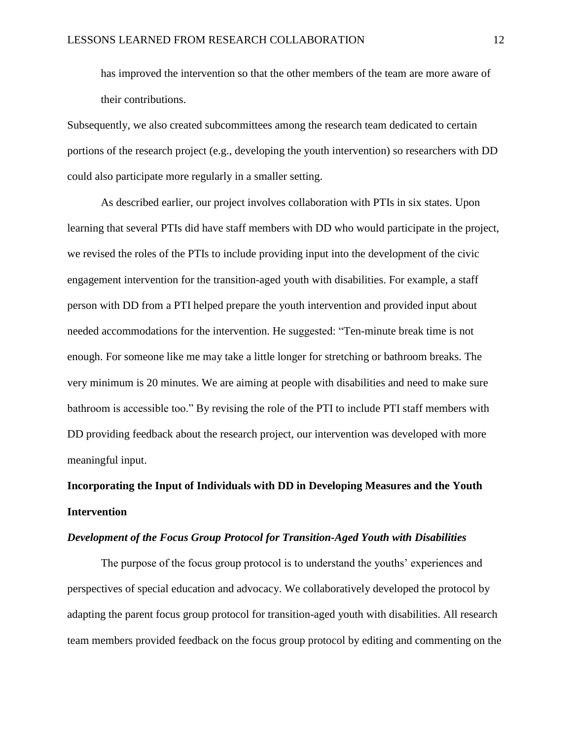has improved the intervention so that the other members of the team are more aware of their contributions.

Subsequently, we also created subcommittees among the research team dedicated to certain portions of the research project (e.g., developing the youth intervention) so researchers with DD could also participate more regularly in a smaller setting.

As described earlier, our project involves collaboration with PTIs in six states. Upon learning that several PTIs did have staff members with DD who would participate in the project, we revised the roles of the PTIs to include providing input into the development of the civic engagement intervention for the transition-aged youth with disabilities. For example, a staff person with DD from a PTI helped prepare the youth intervention and provided input about needed accommodations for the intervention. He suggested: "Ten-minute break time is not enough. For someone like me may take a little longer for stretching or bathroom breaks. The very minimum is 20 minutes. We are aiming at people with disabilities and need to make sure bathroom is accessible too." By revising the role of the PTI to include PTI staff members with DD providing feedback about the research project, our intervention was developed with more meaningful input.

# **Incorporating the Input of Individuals with DD in Developing Measures and the Youth Intervention**

#### *Development of the Focus Group Protocol for Transition-Aged Youth with Disabilities*

The purpose of the focus group protocol is to understand the youths' experiences and perspectives of special education and advocacy. We collaboratively developed the protocol by adapting the parent focus group protocol for transition-aged youth with disabilities. All research team members provided feedback on the focus group protocol by editing and commenting on the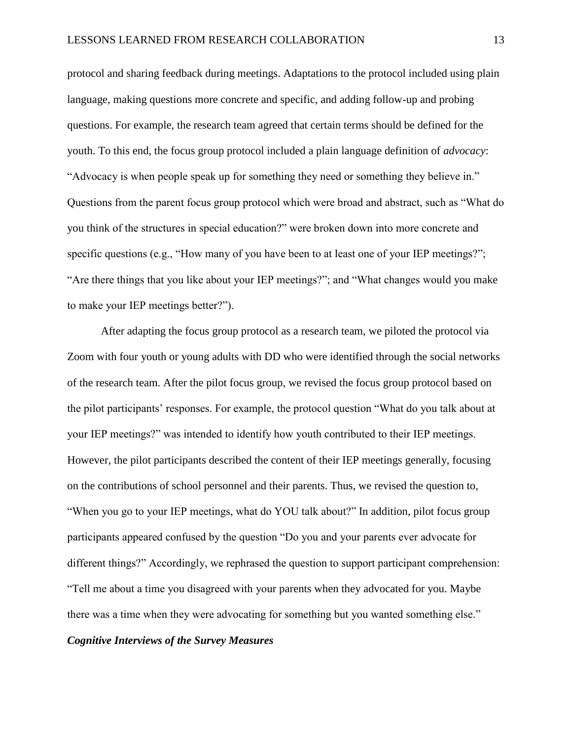protocol and sharing feedback during meetings. Adaptations to the protocol included using plain language, making questions more concrete and specific, and adding follow-up and probing questions. For example, the research team agreed that certain terms should be defined for the youth. To this end, the focus group protocol included a plain language definition of *advocacy*: "Advocacy is when people speak up for something they need or something they believe in." Questions from the parent focus group protocol which were broad and abstract, such as "What do you think of the structures in special education?" were broken down into more concrete and specific questions (e.g., "How many of you have been to at least one of your IEP meetings?"; "Are there things that you like about your IEP meetings?"; and "What changes would you make to make your IEP meetings better?").

After adapting the focus group protocol as a research team, we piloted the protocol via Zoom with four youth or young adults with DD who were identified through the social networks of the research team. After the pilot focus group, we revised the focus group protocol based on the pilot participants' responses. For example, the protocol question "What do you talk about at your IEP meetings?" was intended to identify how youth contributed to their IEP meetings. However, the pilot participants described the content of their IEP meetings generally, focusing on the contributions of school personnel and their parents. Thus, we revised the question to, "When you go to your IEP meetings, what do YOU talk about?" In addition, pilot focus group participants appeared confused by the question "Do you and your parents ever advocate for different things?" Accordingly, we rephrased the question to support participant comprehension: "Tell me about a time you disagreed with your parents when they advocated for you. Maybe there was a time when they were advocating for something but you wanted something else."

#### *Cognitive Interviews of the Survey Measures*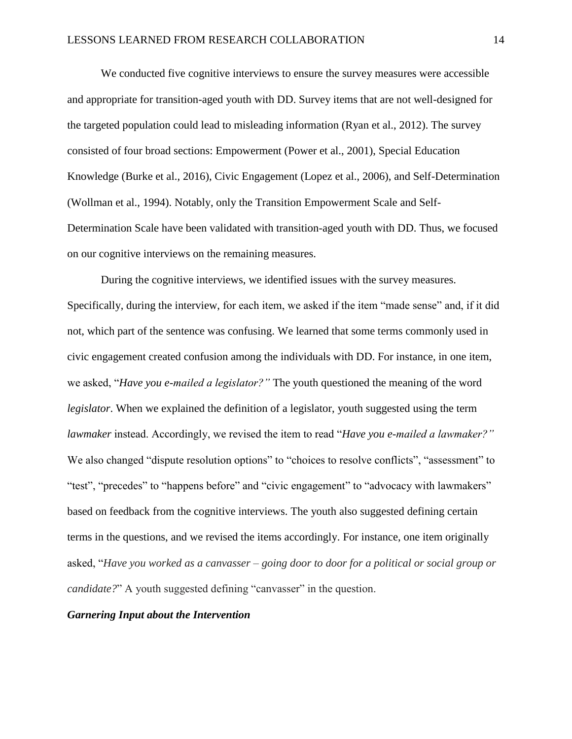We conducted five cognitive interviews to ensure the survey measures were accessible and appropriate for transition-aged youth with DD. Survey items that are not well-designed for the targeted population could lead to misleading information (Ryan et al., 2012). The survey consisted of four broad sections: Empowerment (Power et al., 2001), Special Education Knowledge (Burke et al., 2016), Civic Engagement (Lopez et al., 2006), and Self-Determination (Wollman et al., 1994). Notably, only the Transition Empowerment Scale and Self-Determination Scale have been validated with transition-aged youth with DD. Thus, we focused on our cognitive interviews on the remaining measures.

During the cognitive interviews, we identified issues with the survey measures. Specifically, during the interview, for each item, we asked if the item "made sense" and, if it did not, which part of the sentence was confusing. We learned that some terms commonly used in civic engagement created confusion among the individuals with DD. For instance, in one item, we asked, "*Have you e-mailed a legislator?"* The youth questioned the meaning of the word *legislator*. When we explained the definition of a legislator, youth suggested using the term *lawmaker* instead. Accordingly, we revised the item to read "*Have you e-mailed a lawmaker?"*  We also changed "dispute resolution options" to "choices to resolve conflicts", "assessment" to "test", "precedes" to "happens before" and "civic engagement" to "advocacy with lawmakers" based on feedback from the cognitive interviews. The youth also suggested defining certain terms in the questions, and we revised the items accordingly. For instance, one item originally asked, "*Have you worked as a canvasser – going door to door for a political or social group or candidate?*" A youth suggested defining "canvasser" in the question.

#### *Garnering Input about the Intervention*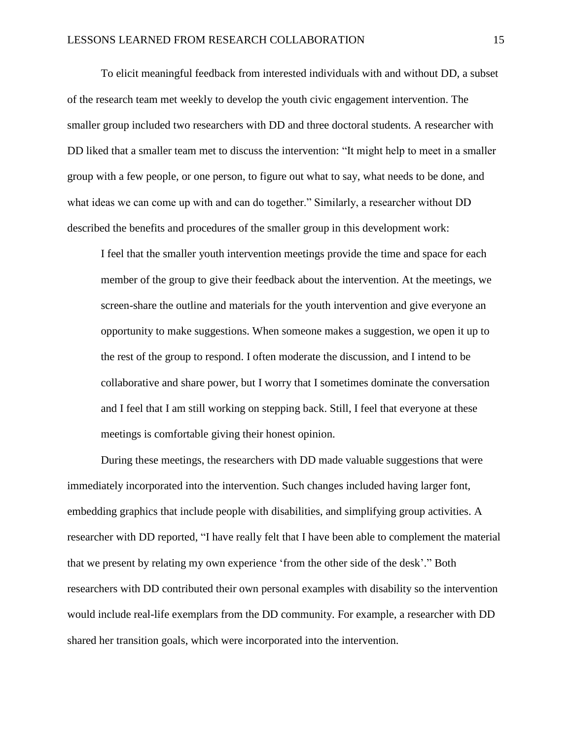To elicit meaningful feedback from interested individuals with and without DD, a subset of the research team met weekly to develop the youth civic engagement intervention. The smaller group included two researchers with DD and three doctoral students. A researcher with DD liked that a smaller team met to discuss the intervention: "It might help to meet in a smaller group with a few people, or one person, to figure out what to say, what needs to be done, and what ideas we can come up with and can do together." Similarly, a researcher without DD described the benefits and procedures of the smaller group in this development work:

I feel that the smaller youth intervention meetings provide the time and space for each member of the group to give their feedback about the intervention. At the meetings, we screen-share the outline and materials for the youth intervention and give everyone an opportunity to make suggestions. When someone makes a suggestion, we open it up to the rest of the group to respond. I often moderate the discussion, and I intend to be collaborative and share power, but I worry that I sometimes dominate the conversation and I feel that I am still working on stepping back. Still, I feel that everyone at these meetings is comfortable giving their honest opinion.

During these meetings, the researchers with DD made valuable suggestions that were immediately incorporated into the intervention. Such changes included having larger font, embedding graphics that include people with disabilities, and simplifying group activities. A researcher with DD reported, "I have really felt that I have been able to complement the material that we present by relating my own experience 'from the other side of the desk'." Both researchers with DD contributed their own personal examples with disability so the intervention would include real-life exemplars from the DD community. For example, a researcher with DD shared her transition goals, which were incorporated into the intervention.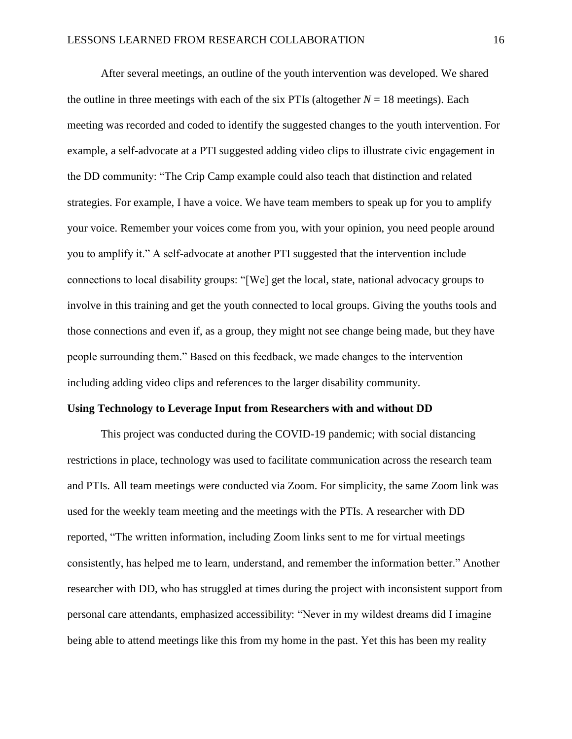After several meetings, an outline of the youth intervention was developed. We shared the outline in three meetings with each of the six PTIs (altogether  $N = 18$  meetings). Each meeting was recorded and coded to identify the suggested changes to the youth intervention. For example, a self-advocate at a PTI suggested adding video clips to illustrate civic engagement in the DD community: "The Crip Camp example could also teach that distinction and related strategies. For example, I have a voice. We have team members to speak up for you to amplify your voice. Remember your voices come from you, with your opinion, you need people around you to amplify it." A self-advocate at another PTI suggested that the intervention include connections to local disability groups: "[We] get the local, state, national advocacy groups to involve in this training and get the youth connected to local groups. Giving the youths tools and those connections and even if, as a group, they might not see change being made, but they have people surrounding them." Based on this feedback, we made changes to the intervention including adding video clips and references to the larger disability community.

#### **Using Technology to Leverage Input from Researchers with and without DD**

This project was conducted during the COVID-19 pandemic; with social distancing restrictions in place, technology was used to facilitate communication across the research team and PTIs. All team meetings were conducted via Zoom. For simplicity, the same Zoom link was used for the weekly team meeting and the meetings with the PTIs. A researcher with DD reported, "The written information, including Zoom links sent to me for virtual meetings consistently, has helped me to learn, understand, and remember the information better." Another researcher with DD, who has struggled at times during the project with inconsistent support from personal care attendants, emphasized accessibility: "Never in my wildest dreams did I imagine being able to attend meetings like this from my home in the past. Yet this has been my reality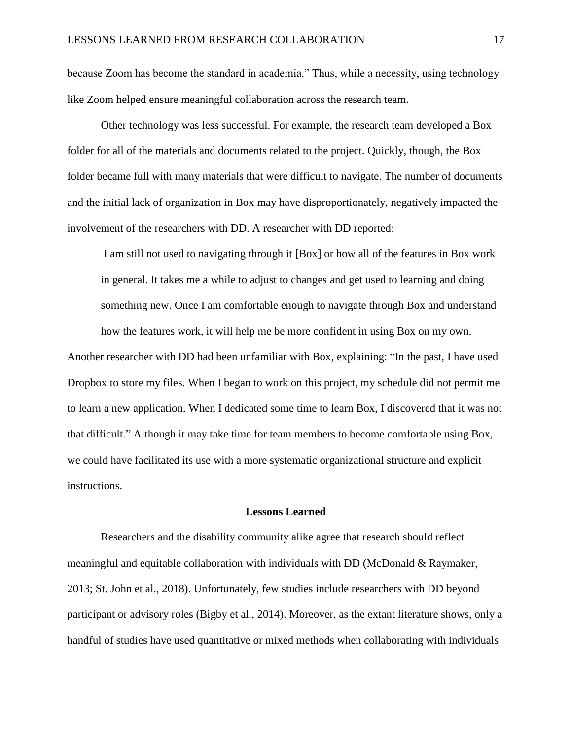because Zoom has become the standard in academia." Thus, while a necessity, using technology like Zoom helped ensure meaningful collaboration across the research team.

Other technology was less successful. For example, the research team developed a Box folder for all of the materials and documents related to the project. Quickly, though, the Box folder became full with many materials that were difficult to navigate. The number of documents and the initial lack of organization in Box may have disproportionately, negatively impacted the involvement of the researchers with DD. A researcher with DD reported:

I am still not used to navigating through it [Box] or how all of the features in Box work in general. It takes me a while to adjust to changes and get used to learning and doing something new. Once I am comfortable enough to navigate through Box and understand how the features work, it will help me be more confident in using Box on my own.

Another researcher with DD had been unfamiliar with Box, explaining: "In the past, I have used Dropbox to store my files. When I began to work on this project, my schedule did not permit me to learn a new application. When I dedicated some time to learn Box, I discovered that it was not that difficult." Although it may take time for team members to become comfortable using Box, we could have facilitated its use with a more systematic organizational structure and explicit instructions.

#### **Lessons Learned**

Researchers and the disability community alike agree that research should reflect meaningful and equitable collaboration with individuals with DD (McDonald & Raymaker, 2013; St. John et al., 2018). Unfortunately, few studies include researchers with DD beyond participant or advisory roles (Bigby et al., 2014). Moreover, as the extant literature shows, only a handful of studies have used quantitative or mixed methods when collaborating with individuals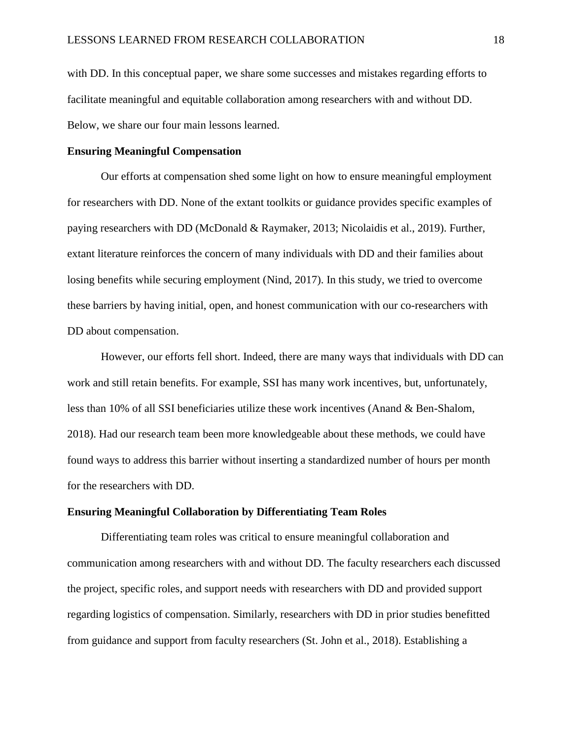with DD. In this conceptual paper, we share some successes and mistakes regarding efforts to facilitate meaningful and equitable collaboration among researchers with and without DD. Below, we share our four main lessons learned.

#### **Ensuring Meaningful Compensation**

Our efforts at compensation shed some light on how to ensure meaningful employment for researchers with DD. None of the extant toolkits or guidance provides specific examples of paying researchers with DD (McDonald & Raymaker, 2013; Nicolaidis et al., 2019). Further, extant literature reinforces the concern of many individuals with DD and their families about losing benefits while securing employment (Nind, 2017). In this study, we tried to overcome these barriers by having initial, open, and honest communication with our co-researchers with DD about compensation.

However, our efforts fell short. Indeed, there are many ways that individuals with DD can work and still retain benefits. For example, SSI has many work incentives, but, unfortunately, less than 10% of all SSI beneficiaries utilize these work incentives (Anand & Ben-Shalom, 2018). Had our research team been more knowledgeable about these methods, we could have found ways to address this barrier without inserting a standardized number of hours per month for the researchers with DD.

#### **Ensuring Meaningful Collaboration by Differentiating Team Roles**

Differentiating team roles was critical to ensure meaningful collaboration and communication among researchers with and without DD. The faculty researchers each discussed the project, specific roles, and support needs with researchers with DD and provided support regarding logistics of compensation. Similarly, researchers with DD in prior studies benefitted from guidance and support from faculty researchers (St. John et al., 2018). Establishing a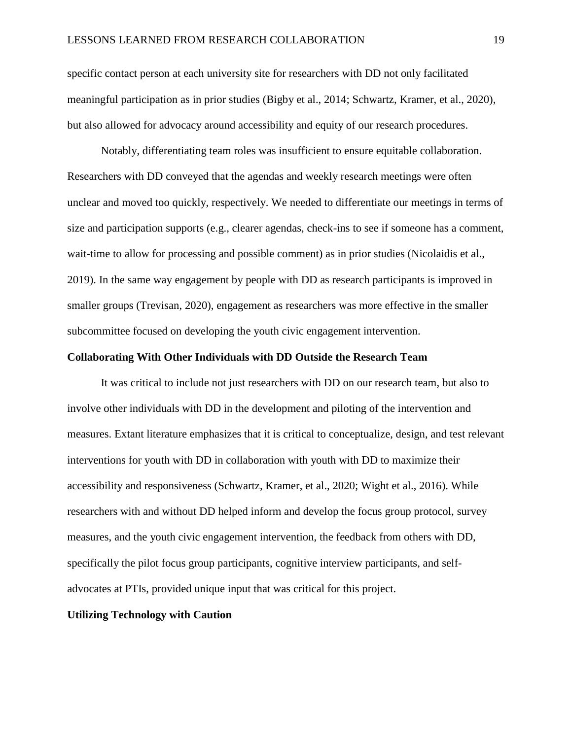specific contact person at each university site for researchers with DD not only facilitated meaningful participation as in prior studies (Bigby et al., 2014; Schwartz, Kramer, et al., 2020), but also allowed for advocacy around accessibility and equity of our research procedures.

Notably, differentiating team roles was insufficient to ensure equitable collaboration. Researchers with DD conveyed that the agendas and weekly research meetings were often unclear and moved too quickly, respectively. We needed to differentiate our meetings in terms of size and participation supports (e.g., clearer agendas, check-ins to see if someone has a comment, wait-time to allow for processing and possible comment) as in prior studies (Nicolaidis et al., 2019). In the same way engagement by people with DD as research participants is improved in smaller groups (Trevisan, 2020), engagement as researchers was more effective in the smaller subcommittee focused on developing the youth civic engagement intervention.

#### **Collaborating With Other Individuals with DD Outside the Research Team**

It was critical to include not just researchers with DD on our research team, but also to involve other individuals with DD in the development and piloting of the intervention and measures. Extant literature emphasizes that it is critical to conceptualize, design, and test relevant interventions for youth with DD in collaboration with youth with DD to maximize their accessibility and responsiveness (Schwartz, Kramer, et al., 2020; Wight et al., 2016). While researchers with and without DD helped inform and develop the focus group protocol, survey measures, and the youth civic engagement intervention, the feedback from others with DD, specifically the pilot focus group participants, cognitive interview participants, and selfadvocates at PTIs, provided unique input that was critical for this project.

#### **Utilizing Technology with Caution**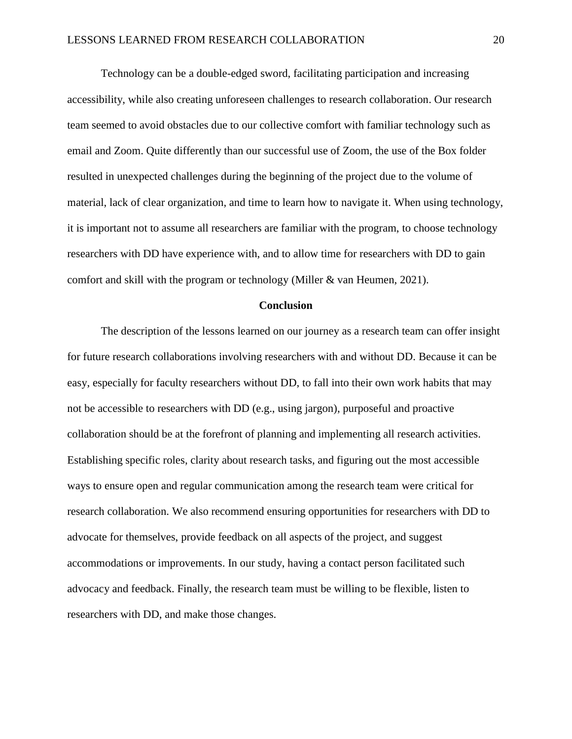Technology can be a double-edged sword, facilitating participation and increasing accessibility, while also creating unforeseen challenges to research collaboration. Our research team seemed to avoid obstacles due to our collective comfort with familiar technology such as email and Zoom. Quite differently than our successful use of Zoom, the use of the Box folder resulted in unexpected challenges during the beginning of the project due to the volume of material, lack of clear organization, and time to learn how to navigate it. When using technology, it is important not to assume all researchers are familiar with the program, to choose technology researchers with DD have experience with, and to allow time for researchers with DD to gain comfort and skill with the program or technology (Miller & van Heumen, 2021).

#### **Conclusion**

The description of the lessons learned on our journey as a research team can offer insight for future research collaborations involving researchers with and without DD. Because it can be easy, especially for faculty researchers without DD, to fall into their own work habits that may not be accessible to researchers with DD (e.g., using jargon), purposeful and proactive collaboration should be at the forefront of planning and implementing all research activities. Establishing specific roles, clarity about research tasks, and figuring out the most accessible ways to ensure open and regular communication among the research team were critical for research collaboration. We also recommend ensuring opportunities for researchers with DD to advocate for themselves, provide feedback on all aspects of the project, and suggest accommodations or improvements. In our study, having a contact person facilitated such advocacy and feedback. Finally, the research team must be willing to be flexible, listen to researchers with DD, and make those changes.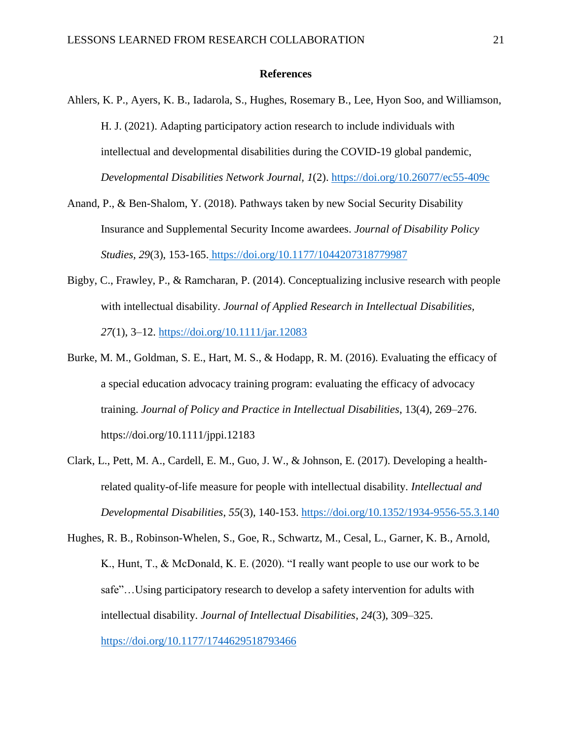#### **References**

- Ahlers, K. P., Ayers, K. B., Iadarola, S., Hughes, Rosemary B., Lee, Hyon Soo, and Williamson, H. J. (2021). Adapting participatory action research to include individuals with intellectual and developmental disabilities during the COVID-19 global pandemic, *Developmental Disabilities Network Journal, 1*(2).<https://doi.org/10.26077/ec55-409c>
- Anand, P., & Ben-Shalom, Y. (2018). Pathways taken by new Social Security Disability Insurance and Supplemental Security Income awardees. *Journal of Disability Policy Studies, 29*(3), 153-165. https://doi.org/10.1177/1044207318779987
- Bigby, C., Frawley, P., & Ramcharan, P. (2014). Conceptualizing inclusive research with people with intellectual disability. *Journal of Applied Research in Intellectual Disabilities, 27*(1), 3–12.<https://doi.org/10.1111/jar.12083>
- Burke, M. M., Goldman, S. E., Hart, M. S., & Hodapp, R. M. (2016). Evaluating the efficacy of a special education advocacy training program: evaluating the efficacy of advocacy training. *Journal of Policy and Practice in Intellectual Disabilities*, 13(4), 269–276. https://doi.org/10.1111/jppi.12183
- Clark, L., Pett, M. A., Cardell, E. M., Guo, J. W., & Johnson, E. (2017). Developing a healthrelated quality-of-life measure for people with intellectual disability. *Intellectual and Developmental Disabilities*, *55*(3), 140-153.<https://doi.org/10.1352/1934-9556-55.3.140>
- Hughes, R. B., Robinson-Whelen, S., Goe, R., Schwartz, M., Cesal, L., Garner, K. B., Arnold, K., Hunt, T., & McDonald, K. E. (2020). "I really want people to use our work to be safe"…Using participatory research to develop a safety intervention for adults with intellectual disability. *Journal of Intellectual Disabilities*, *24*(3), 309–325. <https://doi.org/10.1177/1744629518793466>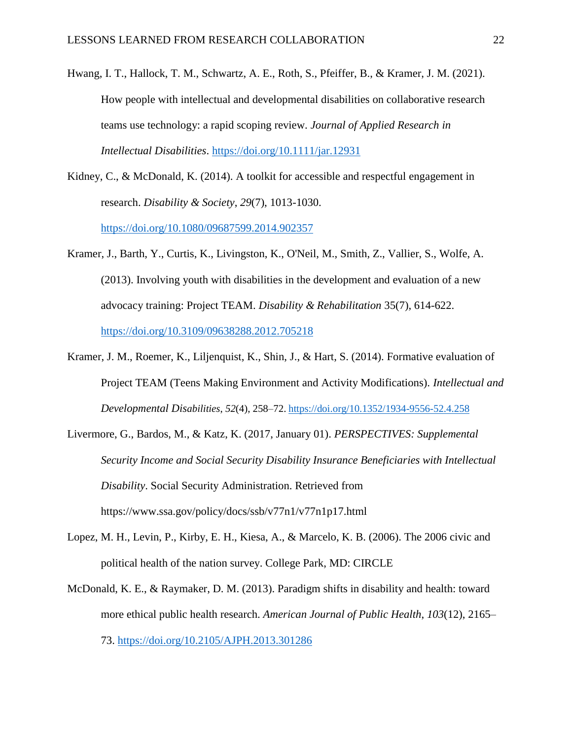Hwang, I. T., Hallock, T. M., Schwartz, A. E., Roth, S., Pfeiffer, B., & Kramer, J. M. (2021). How people with intellectual and developmental disabilities on collaborative research teams use technology: a rapid scoping review. *Journal of Applied Research in Intellectual Disabilities*.<https://doi.org/10.1111/jar.12931>

Kidney, C., & McDonald, K. (2014). A toolkit for accessible and respectful engagement in research. *Disability & Society*, *29*(7), 1013-1030.

<https://doi.org/10.1080/09687599.2014.902357>

- Kramer, J., Barth, Y., Curtis, K., Livingston, K., O'Neil, M., Smith, Z., Vallier, S., Wolfe, A. (2013). Involving youth with disabilities in the development and evaluation of a new advocacy training: Project TEAM. *Disability & Rehabilitation* 35(7), 614-622. <https://doi.org/10.3109/09638288.2012.705218>
- Kramer, J. M., Roemer, K., Liljenquist, K., Shin, J., & Hart, S. (2014). Formative evaluation of Project TEAM (Teens Making Environment and Activity Modifications). *Intellectual and Developmental Disabilities*, *52*(4), 258–72. <https://doi.org/10.1352/1934-9556-52.4.258>
- Livermore, G., Bardos, M., & Katz, K. (2017, January 01). *PERSPECTIVES: Supplemental Security Income and Social Security Disability Insurance Beneficiaries with Intellectual Disability*. Social Security Administration. Retrieved from https://www.ssa.gov/policy/docs/ssb/v77n1/v77n1p17.html
- Lopez, M. H., Levin, P., Kirby, E. H., Kiesa, A., & Marcelo, K. B. (2006). The 2006 civic and political health of the nation survey. College Park, MD: CIRCLE
- McDonald, K. E., & Raymaker, D. M. (2013). Paradigm shifts in disability and health: toward more ethical public health research. *American Journal of Public Health*, *103*(12), 2165– 73.<https://doi.org/10.2105/AJPH.2013.301286>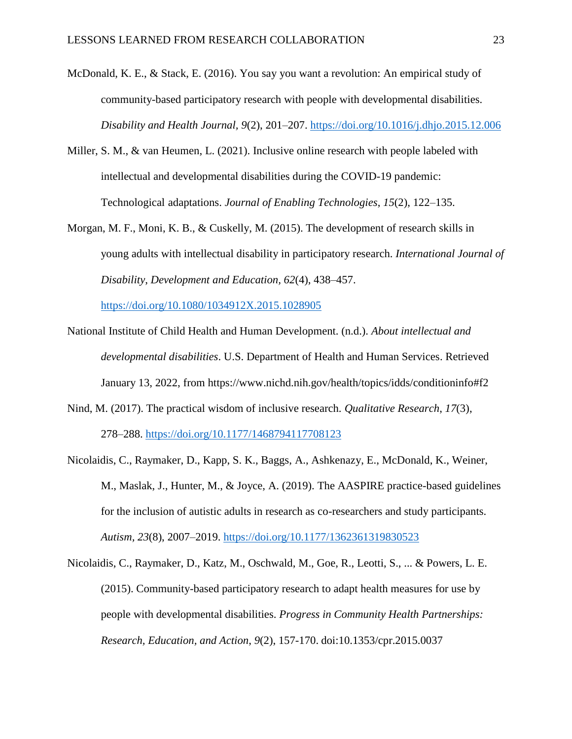- McDonald, K. E., & Stack, E. (2016). You say you want a revolution: An empirical study of community-based participatory research with people with developmental disabilities. *Disability and Health Journal, 9*(2), 201–207.<https://doi.org/10.1016/j.dhjo.2015.12.006>
- Miller, S. M., & van Heumen, L. (2021). Inclusive online research with people labeled with intellectual and developmental disabilities during the COVID-19 pandemic: Technological adaptations. *Journal of Enabling Technologies*, *15*(2), 122–135.
- Morgan, M. F., Moni, K. B., & Cuskelly, M. (2015). The development of research skills in young adults with intellectual disability in participatory research. *International Journal of Disability*, *Development and Education, 62*(4), 438–457.

<https://doi.org/10.1080/1034912X.2015.1028905>

- National Institute of Child Health and Human Development. (n.d.). *About intellectual and developmental disabilities*. U.S. Department of Health and Human Services. Retrieved January 13, 2022, from https://www.nichd.nih.gov/health/topics/idds/conditioninfo#f2
- Nind, M. (2017). The practical wisdom of inclusive research. *Qualitative Research*, *17*(3), 278–288.<https://doi.org/10.1177/1468794117708123>
- Nicolaidis, C., Raymaker, D., Kapp, S. K., Baggs, A., Ashkenazy, E., McDonald, K., Weiner, M., Maslak, J., Hunter, M., & Joyce, A. (2019). The AASPIRE practice-based guidelines for the inclusion of autistic adults in research as co-researchers and study participants. *Autism, 23*(8), 2007–2019.<https://doi.org/10.1177/1362361319830523>
- Nicolaidis, C., Raymaker, D., Katz, M., Oschwald, M., Goe, R., Leotti, S., ... & Powers, L. E. (2015). Community-based participatory research to adapt health measures for use by people with developmental disabilities. *Progress in Community Health Partnerships: Research, Education, and Action*, *9*(2), 157-170. doi:10.1353/cpr.2015.0037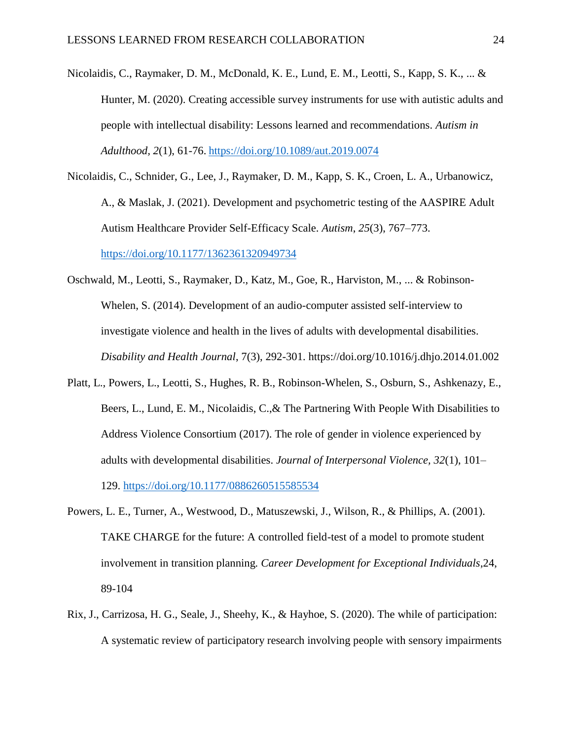- Nicolaidis, C., Raymaker, D. M., McDonald, K. E., Lund, E. M., Leotti, S., Kapp, S. K., ... & Hunter, M. (2020). Creating accessible survey instruments for use with autistic adults and people with intellectual disability: Lessons learned and recommendations. *Autism in Adulthood, 2*(1), 61-76. <https://doi.org/10.1089/aut.2019.0074>
- Nicolaidis, C., Schnider, G., Lee, J., Raymaker, D. M., Kapp, S. K., Croen, L. A., Urbanowicz, A., & Maslak, J. (2021). Development and psychometric testing of the AASPIRE Adult Autism Healthcare Provider Self-Efficacy Scale. *Autism*, *25*(3), 767–773. <https://doi.org/10.1177/1362361320949734>
- Oschwald, M., Leotti, S., Raymaker, D., Katz, M., Goe, R., Harviston, M., ... & Robinson-Whelen, S. (2014). Development of an audio-computer assisted self-interview to investigate violence and health in the lives of adults with developmental disabilities. *Disability and Health Journal*, 7(3), 292-301. https://doi.org/10.1016/j.dhjo.2014.01.002
- Platt, L., Powers, L., Leotti, S., Hughes, R. B., Robinson-Whelen, S., Osburn, S., Ashkenazy, E., Beers, L., Lund, E. M., Nicolaidis, C.,& The Partnering With People With Disabilities to Address Violence Consortium (2017). The role of gender in violence experienced by adults with developmental disabilities. *Journal of Interpersonal Violence, 32*(1), 101– 129.<https://doi.org/10.1177/0886260515585534>
- Powers, L. E., Turner, A., Westwood, D., Matuszewski, J., Wilson, R., & Phillips, A. (2001). TAKE CHARGE for the future: A controlled field-test of a model to promote student involvement in transition planning*. Career Development for Exceptional Individuals*,24, 89-104
- Rix, J., Carrizosa, H. G., Seale, J., Sheehy, K., & Hayhoe, S. (2020). The while of participation: A systematic review of participatory research involving people with sensory impairments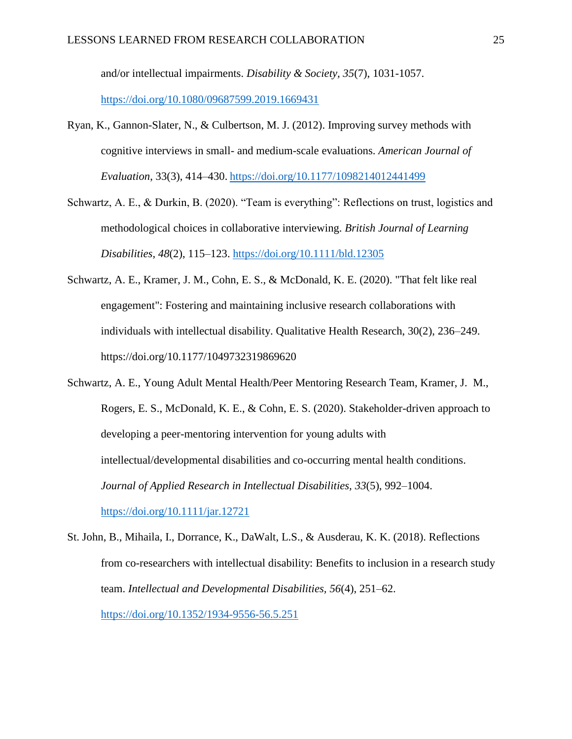and/or intellectual impairments. *Disability & Society, 35*(7), 1031-1057. <https://doi.org/10.1080/09687599.2019.1669431>

- Ryan, K., Gannon-Slater, N., & Culbertson, M. J. (2012). Improving survey methods with cognitive interviews in small- and medium-scale evaluations. *American Journal of Evaluation*, 33(3), 414–430. <https://doi.org/10.1177/1098214012441499>
- Schwartz, A. E., & Durkin, B. (2020). "Team is everything": Reflections on trust, logistics and methodological choices in collaborative interviewing. *British Journal of Learning Disabilities*, *48*(2), 115–123.<https://doi.org/10.1111/bld.12305>
- Schwartz, A. E., Kramer, J. M., Cohn, E. S., & McDonald, K. E. (2020). "That felt like real engagement": Fostering and maintaining inclusive research collaborations with individuals with intellectual disability. Qualitative Health Research, 30(2), 236–249. https://doi.org/10.1177/1049732319869620
- Schwartz, A. E., Young Adult Mental Health/Peer Mentoring Research Team, Kramer, J. M., Rogers, E. S., McDonald, K. E., & Cohn, E. S. (2020). Stakeholder-driven approach to developing a peer-mentoring intervention for young adults with intellectual/developmental disabilities and co-occurring mental health conditions. *Journal of Applied Research in Intellectual Disabilities, 33*(5), 992–1004. <https://doi.org/10.1111/jar.12721>
- St. John, B., Mihaila, I., Dorrance, K., DaWalt, L.S., & Ausderau, K. K. (2018). Reflections from co-researchers with intellectual disability: Benefits to inclusion in a research study team. *Intellectual and Developmental Disabilities, 56*(4), 251–62. <https://doi.org/10.1352/1934-9556-56.5.251>